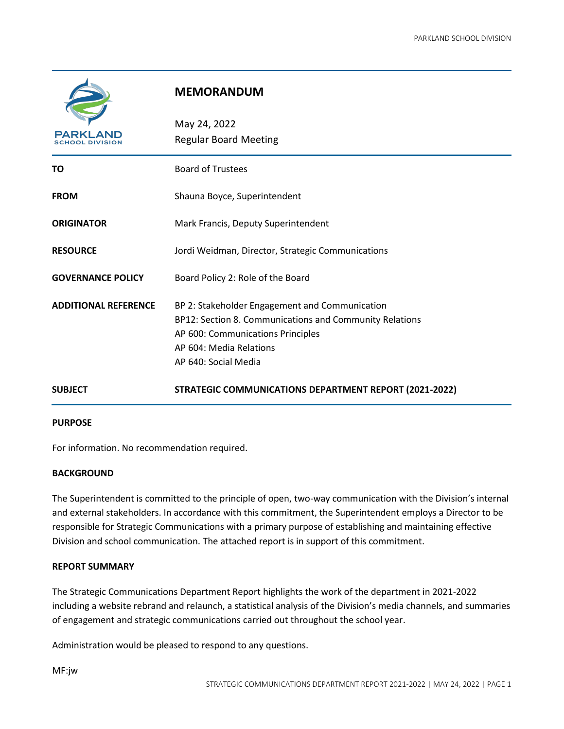

# **MEMORANDUM**

| PARKLAND<br><b>SCHOOL DIVISION</b> | May 24, 2022<br><b>Regular Board Meeting</b>                                                                                                                                                      |
|------------------------------------|---------------------------------------------------------------------------------------------------------------------------------------------------------------------------------------------------|
| TO                                 | <b>Board of Trustees</b>                                                                                                                                                                          |
| <b>FROM</b>                        | Shauna Boyce, Superintendent                                                                                                                                                                      |
| <b>ORIGINATOR</b>                  | Mark Francis, Deputy Superintendent                                                                                                                                                               |
| <b>RESOURCE</b>                    | Jordi Weidman, Director, Strategic Communications                                                                                                                                                 |
| <b>GOVERNANCE POLICY</b>           | Board Policy 2: Role of the Board                                                                                                                                                                 |
| <b>ADDITIONAL REFERENCE</b>        | BP 2: Stakeholder Engagement and Communication<br>BP12: Section 8. Communications and Community Relations<br>AP 600: Communications Principles<br>AP 604: Media Relations<br>AP 640: Social Media |
| <b>SUBJECT</b>                     | <b>STRATEGIC COMMUNICATIONS DEPARTMENT REPORT (2021-2022)</b>                                                                                                                                     |

#### **PURPOSE**

For information. No recommendation required.

## **BACKGROUND**

The Superintendent is committed to the principle of open, two-way communication with the Division's internal and external stakeholders. In accordance with this commitment, the Superintendent employs a Director to be responsible for Strategic Communications with a primary purpose of establishing and maintaining effective Division and school communication. The attached report is in support of this commitment.

#### **REPORT SUMMARY**

The Strategic Communications Department Report highlights the work of the department in 2021-2022 including a website rebrand and relaunch, a statistical analysis of the Division's media channels, and summaries of engagement and strategic communications carried out throughout the school year.

Administration would be pleased to respond to any questions.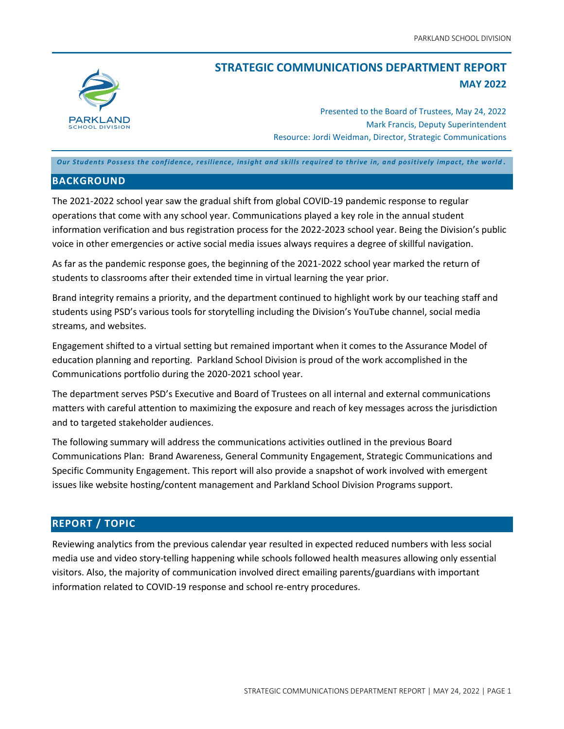

# **STRATEGIC COMMUNICATIONS DEPARTMENT REPORT MAY 2022**

Presented to the Board of Trustees, May 24, 2022 Mark Francis, Deputy Superintendent Resource: Jordi Weidman, Director, Strategic Communications

*Our Students Possess the confidence, resilience, insight and skills required to thrive in, and positively impact, the world .*

#### **BACKGROUND**

The 2021-2022 school year saw the gradual shift from global COVID-19 pandemic response to regular operations that come with any school year. Communications played a key role in the annual student information verification and bus registration process for the 2022-2023 school year. Being the Division's public voice in other emergencies or active social media issues always requires a degree of skillful navigation.

As far as the pandemic response goes, the beginning of the 2021-2022 school year marked the return of students to classrooms after their extended time in virtual learning the year prior.

Brand integrity remains a priority, and the department continued to highlight work by our teaching staff and students using PSD's various tools for storytelling including the Division's YouTube channel, social media streams, and websites.

Engagement shifted to a virtual setting but remained important when it comes to the Assurance Model of education planning and reporting. Parkland School Division is proud of the work accomplished in the Communications portfolio during the 2020-2021 school year.

The department serves PSD's Executive and Board of Trustees on all internal and external communications matters with careful attention to maximizing the exposure and reach of key messages across the jurisdiction and to targeted stakeholder audiences.

The following summary will address the communications activities outlined in the previous Board Communications Plan: Brand Awareness, General Community Engagement, Strategic Communications and Specific Community Engagement. This report will also provide a snapshot of work involved with emergent issues like website hosting/content management and Parkland School Division Programs support.

## **REPORT / TOPIC**

Reviewing analytics from the previous calendar year resulted in expected reduced numbers with less social media use and video story-telling happening while schools followed health measures allowing only essential visitors. Also, the majority of communication involved direct emailing parents/guardians with important information related to COVID-19 response and school re-entry procedures.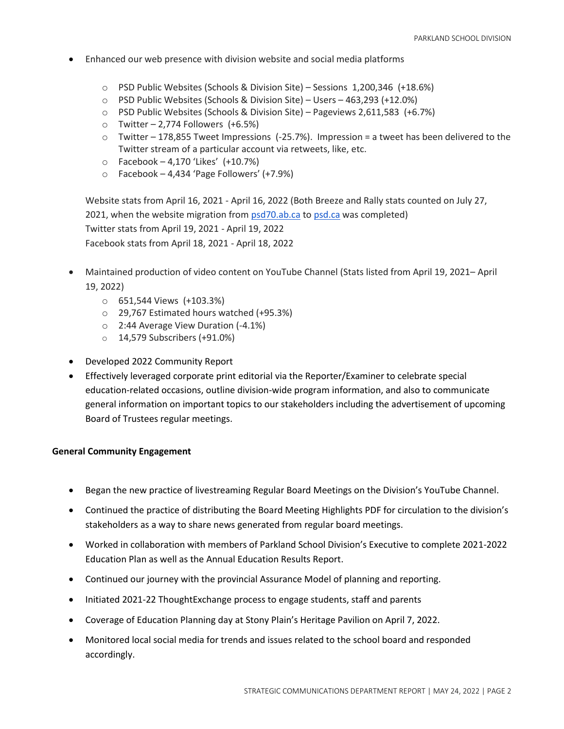- Enhanced our web presence with division website and social media platforms
	- o PSD Public Websites (Schools & Division Site) Sessions 1,200,346 (+18.6%)
	- o PSD Public Websites (Schools & Division Site) Users 463,293 (+12.0%)
	- o PSD Public Websites (Schools & Division Site) Pageviews 2,611,583 (+6.7%)
	- $\circ$  Twitter 2,774 Followers (+6.5%)
	- o Twitter 178,855 Tweet Impressions (-25.7%). Impression = a tweet has been delivered to the Twitter stream of a particular account via retweets, like, etc.
	- o Facebook 4,170 'Likes' (+10.7%)
	- o Facebook 4,434 'Page Followers' (+7.9%)

Website stats from April 16, 2021 - April 16, 2022 (Both Breeze and Rally stats counted on July 27, 2021, when the website migration from [psd70.ab.ca](http://psd70.ab.ca/) to [psd.ca](http://psd.ca/) was completed) Twitter stats from April 19, 2021 - April 19, 2022 Facebook stats from April 18, 2021 - April 18, 2022

- Maintained production of video content on YouTube Channel (Stats listed from April 19, 2021– April 19, 2022)
	- o 651,544 Views (+103.3%)
	- o 29,767 Estimated hours watched (+95.3%)
	- o 2:44 Average View Duration (-4.1%)
	- o 14,579 Subscribers (+91.0%)
- Developed 2022 Community Report
- Effectively leveraged corporate print editorial via the Reporter/Examiner to celebrate special education-related occasions, outline division-wide program information, and also to communicate general information on important topics to our stakeholders including the advertisement of upcoming Board of Trustees regular meetings.

#### **General Community Engagement**

- Began the new practice of livestreaming Regular Board Meetings on the Division's YouTube Channel.
- Continued the practice of distributing the Board Meeting Highlights PDF for circulation to the division's stakeholders as a way to share news generated from regular board meetings.
- Worked in collaboration with members of Parkland School Division's Executive to complete 2021-2022 Education Plan as well as the Annual Education Results Report.
- Continued our journey with the provincial Assurance Model of planning and reporting.
- Initiated 2021-22 ThoughtExchange process to engage students, staff and parents
- Coverage of Education Planning day at Stony Plain's Heritage Pavilion on April 7, 2022.
- Monitored local social media for trends and issues related to the school board and responded accordingly.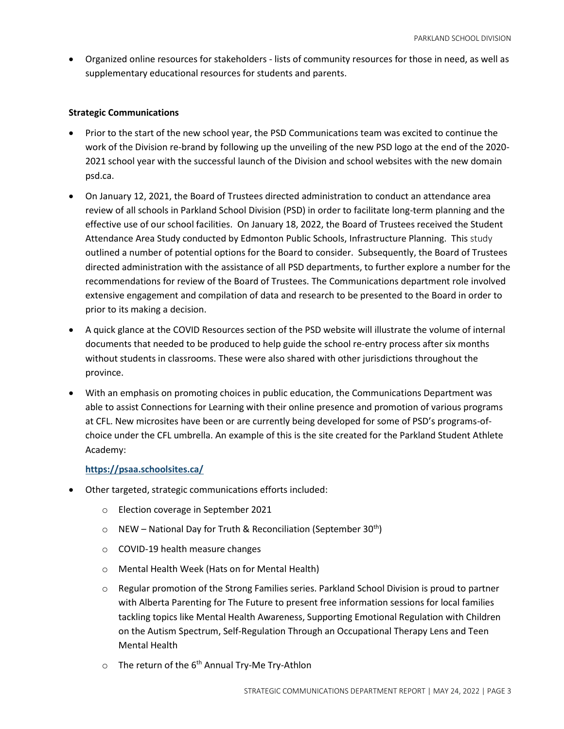• Organized online resources for stakeholders - lists of community resources for those in need, as well as supplementary educational resources for students and parents.

## **Strategic Communications**

- Prior to the start of the new school year, the PSD Communications team was excited to continue the work of the Division re-brand by following up the unveiling of the new PSD logo at the end of the 2020- 2021 school year with the successful launch of the Division and school websites with the new domain psd.ca.
- On January 12, 2021, the Board of Trustees directed administration to conduct an attendance area review of all schools in Parkland School Division (PSD) in order to facilitate long-term planning and the effective use of our school facilities. On January 18, 2022, the Board of Trustees received the Student Attendance Area Study conducted by Edmonton Public Schools, Infrastructure Planning. This [study](https://www.psd.ca/download/378346) outlined a number of potential options for the Board to consider. Subsequently, the Board of Trustees directed administration with the assistance of all PSD departments, to further explore a number for the recommendations for review of the Board of Trustees. The Communications department role involved extensive engagement and compilation of data and research to be presented to the Board in order to prior to its making a decision.
- A quick glance at the COVID Resources section of the PSD website will illustrate the volume of internal documents that needed to be produced to help guide the school re-entry process after six months without students in classrooms. These were also shared with other jurisdictions throughout the province.
- With an emphasis on promoting choices in public education, the Communications Department was able to assist Connections for Learning with their online presence and promotion of various programs at CFL. New microsites have been or are currently being developed for some of PSD's programs-ofchoice under the CFL umbrella. An example of this is the site created for the Parkland Student Athlete Academy:

## **<https://psaa.schoolsites.ca/>**

- Other targeted, strategic communications efforts included:
	- o Election coverage in September 2021
	- $\circ$  NEW National Day for Truth & Reconciliation (September 30<sup>th</sup>)
	- o COVID-19 health measure changes
	- o Mental Health Week (Hats on for Mental Health)
	- $\circ$  Regular promotion of the Strong Families series. Parkland School Division is proud to partner with Alberta Parenting for The Future to present free information sessions for local families tackling topics like Mental Health Awareness, Supporting Emotional Regulation with Children on the Autism Spectrum, Self-Regulation Through an Occupational Therapy Lens and Teen Mental Health
	- $\circ$  The return of the 6<sup>th</sup> Annual Try-Me Try-Athlon